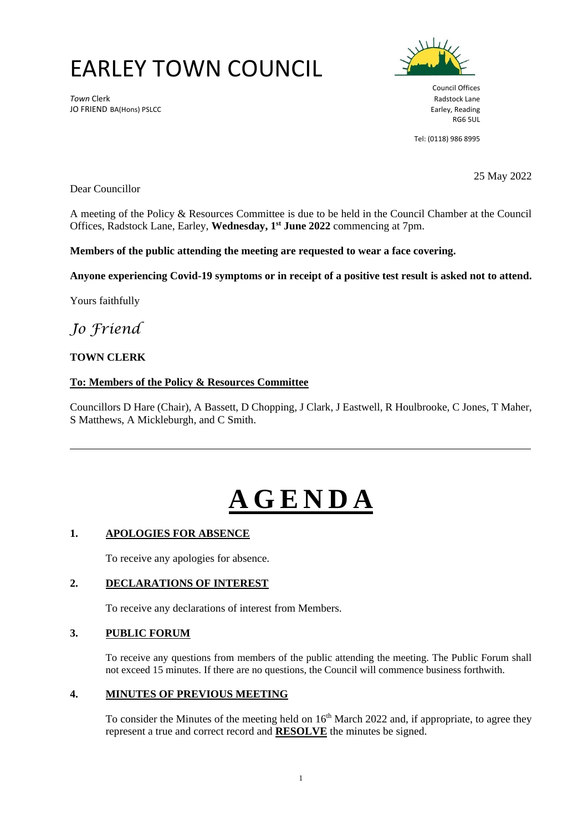## EARLEY TOWN COUNCIL

**Town Clerk** Radstock Lane JO FRIEND BA(Hons) PSLCC **Earley, Reading** 



Council Offices RG6 5UL

Tel: (0118) 986 8995

Dear Councillor

25 May 2022

A meeting of the Policy & Resources Committee is due to be held in the Council Chamber at the Council Offices, Radstock Lane, Earley, **Wednesday, 1 st June 2022** commencing at 7pm.

**Members of the public attending the meeting are requested to wear a face covering.**

**Anyone experiencing Covid-19 symptoms or in receipt of a positive test result is asked not to attend.**

Yours faithfully

### *Jo Friend*

#### **TOWN CLERK**

#### **To: Members of the Policy & Resources Committee**

Councillors D Hare (Chair), A Bassett, D Chopping*,* J Clark, J Eastwell, R Houlbrooke, C Jones, T Maher, S Matthews, A Mickleburgh, and C Smith.

# **A G E N D A**

#### **1. APOLOGIES FOR ABSENCE**

To receive any apologies for absence.

#### **2. DECLARATIONS OF INTEREST**

To receive any declarations of interest from Members.

#### **3. PUBLIC FORUM**

To receive any questions from members of the public attending the meeting. The Public Forum shall not exceed 15 minutes. If there are no questions, the Council will commence business forthwith.

#### **4. MINUTES OF PREVIOUS MEETING**

To consider the Minutes of the meeting held on  $16<sup>th</sup>$  March 2022 and, if appropriate, to agree they represent a true and correct record and **RESOLVE** the minutes be signed.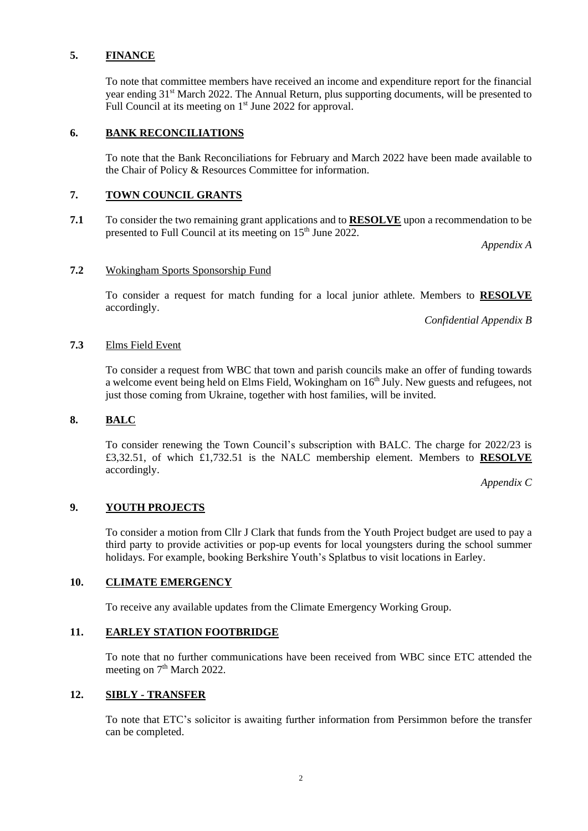#### **5. FINANCE**

To note that committee members have received an income and expenditure report for the financial year ending 31<sup>st</sup> March 2022. The Annual Return, plus supporting documents, will be presented to Full Council at its meeting on 1<sup>st</sup> June 2022 for approval.

#### **6. BANK RECONCILIATIONS**

To note that the Bank Reconciliations for February and March 2022 have been made available to the Chair of Policy & Resources Committee for information.

#### **7. TOWN COUNCIL GRANTS**

**7.1** To consider the two remaining grant applications and to **RESOLVE** upon a recommendation to be presented to Full Council at its meeting on  $15<sup>th</sup>$  June 2022.

*Appendix A*

#### **7.2** Wokingham Sports Sponsorship Fund

To consider a request for match funding for a local junior athlete. Members to **RESOLVE** accordingly.

*Confidential Appendix B*

#### **7.3** Elms Field Event

To consider a request from WBC that town and parish councils make an offer of funding towards a welcome event being held on Elms Field, Wokingham on  $16<sup>th</sup>$  July. New guests and refugees, not just those coming from Ukraine, together with host families, will be invited.

#### **8. BALC**

To consider renewing the Town Council's subscription with BALC. The charge for 2022/23 is £3,32.51, of which £1,732.51 is the NALC membership element. Members to **RESOLVE** accordingly.

*Appendix C*

#### **9. YOUTH PROJECTS**

To consider a motion from Cllr J Clark that funds from the Youth Project budget are used to pay a third party to provide activities or pop-up events for local youngsters during the school summer holidays. For example, booking Berkshire Youth's Splatbus to visit locations in Earley.

#### **10. CLIMATE EMERGENCY**

To receive any available updates from the Climate Emergency Working Group.

#### **11. EARLEY STATION FOOTBRIDGE**

To note that no further communications have been received from WBC since ETC attended the meeting on 7<sup>th</sup> March 2022.

#### **12. SIBLY - TRANSFER**

To note that ETC's solicitor is awaiting further information from Persimmon before the transfer can be completed.